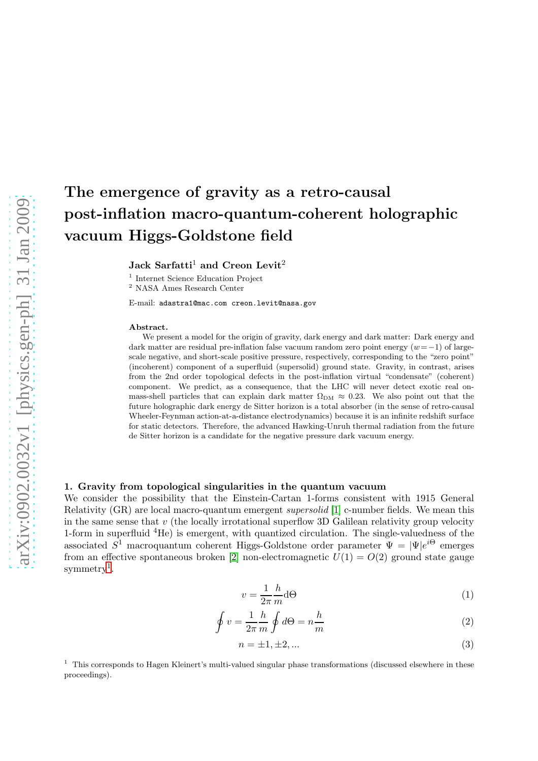# The emergence of gravity as a retro-causal post-inflation macro-quantum-coherent holographic vacuum Higgs-Goldstone field

Jack Sarfatti<sup>1</sup> and Creon Levit<sup>2</sup>

1 Internet Science Education Project

<sup>2</sup> NASA Ames Research Center

E-mail: adastra1@mac.com creon.levit@nasa.gov

#### Abstract.

We present a model for the origin of gravity, dark energy and dark matter: Dark energy and dark matter are residual pre-inflation false vacuum random zero point energy  $(w=-1)$  of largescale negative, and short-scale positive pressure, respectively, corresponding to the "zero point" (incoherent) component of a superfluid (supersolid) ground state. Gravity, in contrast, arises from the 2nd order topological defects in the post-inflation virtual "condensate" (coherent) component. We predict, as a consequence, that the LHC will never detect exotic real onmass-shell particles that can explain dark matter  $\Omega_{DM} \approx 0.23$ . We also point out that the future holographic dark energy de Sitter horizon is a total absorber (in the sense of retro-causal Wheeler-Feynman action-at-a-distance electrodynamics) because it is an infinite redshift surface for static detectors. Therefore, the advanced Hawking-Unruh thermal radiation from the future de Sitter horizon is a candidate for the negative pressure dark vacuum energy.

#### 1. Gravity from topological singularities in the quantum vacuum

We consider the possibility that the Einstein-Cartan 1-forms consistent with 1915 General Relativity (GR) are local macro-quantum emergent supersolid [\[1\]](#page-7-0) c-number fields. We mean this in the same sense that  $v$  (the locally irrotational superflow 3D Galilean relativity group velocity 1-form in superfluid <sup>4</sup>He) is emergent, with quantized circulation. The single-valuedness of the associated  $S^1$  macroquantum coherent Higgs-Goldstone order parameter  $\Psi = |\Psi|e^{i\Theta}$  emerges from an effective spontaneous broken [\[2\]](#page-7-1) non-electromagnetic  $U(1) = O(2)$  ground state gauge  $symmetry<sup>1</sup>$  $symmetry<sup>1</sup>$  $symmetry<sup>1</sup>$ .

$$
v = \frac{1}{2\pi} \frac{h}{m} d\Theta \tag{1}
$$

$$
\oint v = \frac{1}{2\pi} \frac{h}{m} \oint d\Theta = n \frac{h}{m} \tag{2}
$$

$$
n = \pm 1, \pm 2, \dots \tag{3}
$$

<span id="page-0-0"></span> $1$  This corresponds to Hagen Kleinert's multi-valued singular phase transformations (discussed elsewhere in these proceedings).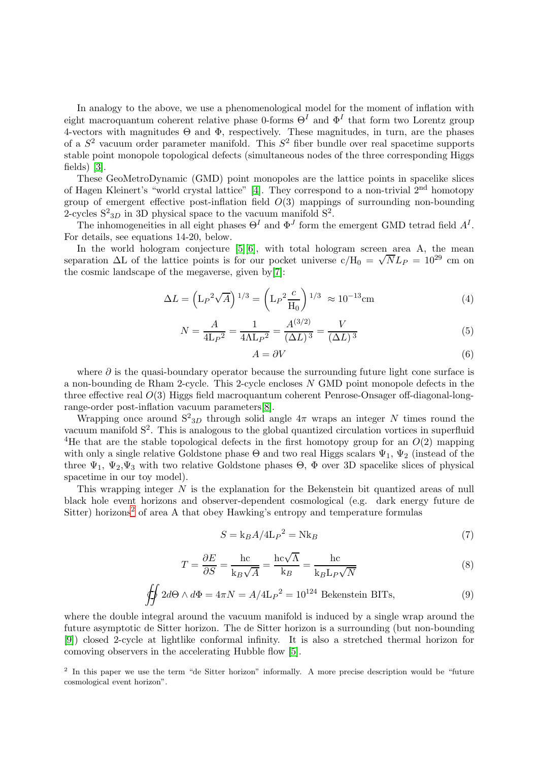In analogy to the above, we use a phenomenological model for the moment of inflation with eight macroquantum coherent relative phase 0-forms  $\Theta^I$  and  $\Phi^I$  that form two Lorentz group 4-vectors with magnitudes  $\Theta$  and  $\Phi$ , respectively. These magnitudes, in turn, are the phases of a  $S<sup>2</sup>$  vacuum order parameter manifold. This  $S<sup>2</sup>$  fiber bundle over real spacetime supports stable point monopole topological defects (simultaneous nodes of the three corresponding Higgs fields) [\[3\]](#page-7-2).

These GeoMetroDynamic (GMD) point monopoles are the lattice points in spacelike slices of Hagen Kleinert's "world crystal lattice" [\[4\]](#page-7-3). They correspond to a non-trivial 2nd homotopy group of emergent effective post-inflation field  $O(3)$  mappings of surrounding non-bounding 2-cycles  $S^2_{3D}$  in 3D physical space to the vacuum manifold  $S^2$ .

The inhomogeneities in all eight phases  $\Theta^I$  and  $\Phi^J$  form the emergent GMD tetrad field  $A^I$ . For details, see equations 14-20, below.

In the world hologram conjecture  $[5][6]$  $[5][6]$ , with total hologram screen area A, the mean separation  $\Delta L$  of the lattice points is for our pocket universe  $c/H_0 = \sqrt{N}L_P = 10^{29}$  cm on the cosmic landscape of the megaverse, given by[\[7\]](#page-7-6):

$$
\Delta L = \left(\mathcal{L}_P{}^2 \sqrt{A}\right)^{1/3} = \left(\mathcal{L}_P{}^2 \frac{c}{\mathcal{H}_0}\right)^{1/3} \approx 10^{-13} \text{cm} \tag{4}
$$

$$
N = \frac{A}{4\mu^2} = \frac{1}{4\Lambda L_P^2} = \frac{A^{(3/2)}}{(\Delta L)^3} = \frac{V}{(\Delta L)^3}
$$
(5)

$$
A = \partial V \tag{6}
$$

where  $\partial$  is the quasi-boundary operator because the surrounding future light cone surface is a non-bounding de Rham 2-cycle. This 2-cycle encloses N GMD point monopole defects in the three effective real  $O(3)$  Higgs field macroquantum coherent Penrose-Onsager off-diagonal-longrange-order post-inflation vacuum parameters[\[8\]](#page-7-7).

Wrapping once around  $S^2_{3D}$  through solid angle  $4\pi$  wraps an integer N times round the vacuum manifold  $S^2$ . This is analogous to the global quantized circulation vortices in superfluid <sup>4</sup>He that are the stable topological defects in the first homotopy group for an  $O(2)$  mapping with only a single relative Goldstone phase  $\Theta$  and two real Higgs scalars  $\Psi_1$ ,  $\Psi_2$  (instead of the three  $\Psi_1$ ,  $\Psi_2$ ,  $\Psi_3$  with two relative Goldstone phases  $\Theta$ ,  $\Phi$  over 3D spacelike slices of physical spacetime in our toy model).

This wrapping integer  $N$  is the explanation for the Bekenstein bit quantized areas of null black hole event horizons and observer-dependent cosmological (e.g. dark energy future de Sitter) horizons<sup>[2](#page-1-0)</sup> of area A that obey Hawking's entropy and temperature formulas

$$
S = k_B A / 4L_P^2 = Nk_B \tag{7}
$$

$$
T = \frac{\partial E}{\partial S} = \frac{hc}{k_B \sqrt{A}} = \frac{hc\sqrt{A}}{k_B} = \frac{hc}{k_B L_P \sqrt{N}}
$$
(8)

$$
\oiint 2d\Theta \wedge d\Phi = 4\pi N = A/4L_P^2 = 10^{124} \text{ Bekenstein BITs},\tag{9}
$$

where the double integral around the vacuum manifold is induced by a single wrap around the future asymptotic de Sitter horizon. The de Sitter horizon is a surrounding (but non-bounding [\[9\]](#page-7-8)) closed 2-cycle at lightlike conformal infinity. It is also a stretched thermal horizon for comoving observers in the accelerating Hubble flow [\[5\]](#page-7-4).

<span id="page-1-0"></span><sup>2</sup> In this paper we use the term "de Sitter horizon" informally. A more precise description would be "future cosmological event horizon".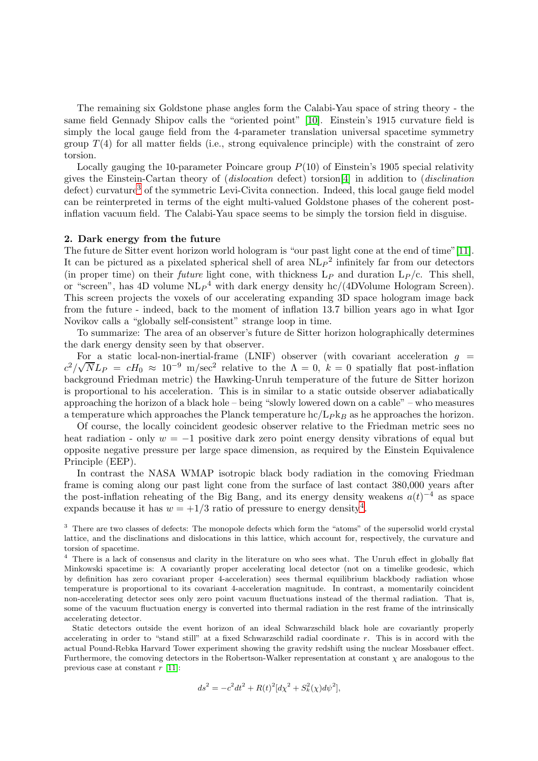The remaining six Goldstone phase angles form the Calabi-Yau space of string theory - the same field Gennady Shipov calls the "oriented point" [\[10\]](#page-7-9). Einstein's 1915 curvature field is simply the local gauge field from the 4-parameter translation universal spacetime symmetry group  $T(4)$  for all matter fields (i.e., strong equivalence principle) with the constraint of zero torsion.

Locally gauging the 10-parameter Poincare group  $P(10)$  of Einstein's 1905 special relativity gives the Einstein-Cartan theory of (dislocation defect) torsion[\[4\]](#page-7-3) in addition to (disclination defect) curvature<sup>[3](#page-2-0)</sup> of the symmetric Levi-Civita connection. Indeed, this local gauge field model can be reinterpreted in terms of the eight multi-valued Goldstone phases of the coherent postinflation vacuum field. The Calabi-Yau space seems to be simply the torsion field in disguise.

#### 2. Dark energy from the future

The future de Sitter event horizon world hologram is "our past light cone at the end of time"[\[11\]](#page-7-10). It can be pictured as a pixelated spherical shell of area  $NL_P^2$  infinitely far from our detectors (in proper time) on their *future* light cone, with thickness  $L_P$  and duration  $L_P/c$ . This shell, or "screen", has 4D volume  $\text{NL}_P{}^4$  with dark energy density hc/(4DVolume Hologram Screen). This screen projects the voxels of our accelerating expanding 3D space hologram image back from the future - indeed, back to the moment of inflation 13.7 billion years ago in what Igor Novikov calls a "globally self-consistent" strange loop in time.

To summarize: The area of an observer's future de Sitter horizon holographically determines the dark energy density seen by that observer.

For a static local-non-inertial-frame (LNIF) observer (with covariant acceleration  $g =$  $c^2/\sqrt{N}L_P = cH_0 \approx 10^{-9}$  m/sec<sup>2</sup> relative to the  $\Lambda = 0$ ,  $k = 0$  spatially flat post-inflation background Friedman metric) the Hawking-Unruh temperature of the future de Sitter horizon is proportional to his acceleration. This is in similar to a static outside observer adiabatically approaching the horizon of a black hole – being "slowly lowered down on a cable" – who measures a temperature which approaches the Planck temperature  $\frac{hc}{Lpk_B}$  as he approaches the horizon.

Of course, the locally coincident geodesic observer relative to the Friedman metric sees no heat radiation - only  $w = -1$  positive dark zero point energy density vibrations of equal but opposite negative pressure per large space dimension, as required by the Einstein Equivalence Principle (EEP).

In contrast the NASA WMAP isotropic black body radiation in the comoving Friedman frame is coming along our past light cone from the surface of last contact 380,000 years after the post-inflation reheating of the Big Bang, and its energy density weakens  $a(t)$ <sup>-4</sup> as space expands because it has  $w = +1/3$  ratio of pressure to energy density<sup>[4](#page-2-1)</sup>.

<span id="page-2-1"></span><sup>4</sup> There is a lack of consensus and clarity in the literature on who sees what. The Unruh effect in globally flat Minkowski spacetime is: A covariantly proper accelerating local detector (not on a timelike geodesic, which by definition has zero covariant proper 4-acceleration) sees thermal equilibrium blackbody radiation whose temperature is proportional to its covariant 4-acceleration magnitude. In contrast, a momentarily coincident non-accelerating detector sees only zero point vacuum fluctuations instead of the thermal radiation. That is, some of the vacuum fluctuation energy is converted into thermal radiation in the rest frame of the intrinsically accelerating detector.

Static detectors outside the event horizon of an ideal Schwarzschild black hole are covariantly properly accelerating in order to "stand still" at a fixed Schwarzschild radial coordinate r. This is in accord with the actual Pound-Rebka Harvard Tower experiment showing the gravity redshift using the nuclear Mossbauer effect. Furthermore, the comoving detectors in the Robertson-Walker representation at constant  $\chi$  are analogous to the previous case at constant  $r$  [\[11\]](#page-7-10):

$$
ds^{2} = -c^{2}dt^{2} + R(t)^{2}[d\chi^{2} + S_{k}^{2}(\chi)d\psi^{2}],
$$

<span id="page-2-0"></span><sup>&</sup>lt;sup>3</sup> There are two classes of defects: The monopole defects which form the "atoms" of the supersolid world crystal lattice, and the disclinations and dislocations in this lattice, which account for, respectively, the curvature and torsion of spacetime.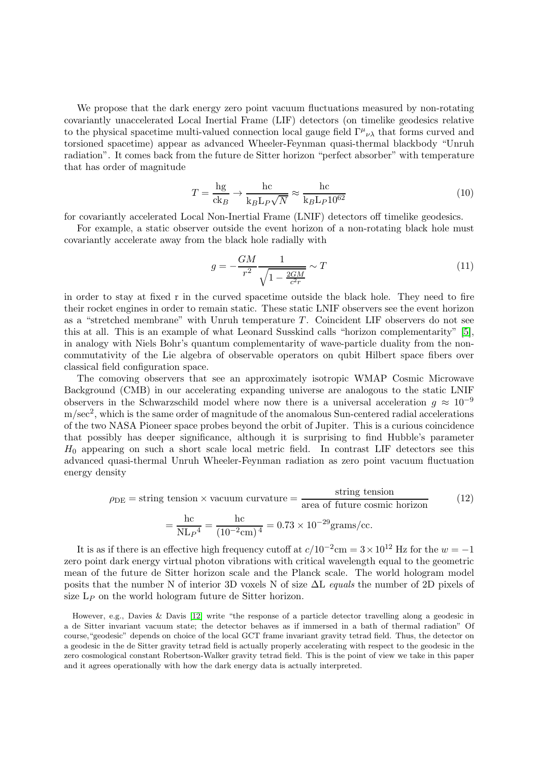We propose that the dark energy zero point vacuum fluctuations measured by non-rotating covariantly unaccelerated Local Inertial Frame (LIF) detectors (on timelike geodesics relative to the physical spacetime multi-valued connection local gauge field  $\Gamma^{\mu}{}_{\nu\lambda}$  that forms curved and torsioned spacetime) appear as advanced Wheeler-Feynman quasi-thermal blackbody "Unruh radiation". It comes back from the future de Sitter horizon "perfect absorber" with temperature that has order of magnitude

$$
T = \frac{\text{hg}}{\text{ck}_B} \to \frac{\text{hc}}{\text{k}_B \text{L}_P \sqrt{N}} \approx \frac{\text{hc}}{\text{k}_B \text{L}_P 10^{62}} \tag{10}
$$

for covariantly accelerated Local Non-Inertial Frame (LNIF) detectors off timelike geodesics.

For example, a static observer outside the event horizon of a non-rotating black hole must covariantly accelerate away from the black hole radially with

$$
g = -\frac{GM}{r^2} \frac{1}{\sqrt{1 - \frac{2GM}{c^2r}}} \sim T
$$
\n
$$
\tag{11}
$$

in order to stay at fixed r in the curved spacetime outside the black hole. They need to fire their rocket engines in order to remain static. These static LNIF observers see the event horizon as a "stretched membrane" with Unruh temperature T. Coincident LIF observers do not see this at all. This is an example of what Leonard Susskind calls "horizon complementarity" [\[5\]](#page-7-4), in analogy with Niels Bohr's quantum complementarity of wave-particle duality from the noncommutativity of the Lie algebra of observable operators on qubit Hilbert space fibers over classical field configuration space.

The comoving observers that see an approximately isotropic WMAP Cosmic Microwave Background (CMB) in our accelerating expanding universe are analogous to the static LNIF observers in the Schwarzschild model where now there is a universal acceleration  $q \approx 10^{-9}$  $\text{m/sec}^2$ , which is the same order of magnitude of the anomalous Sun-centered radial accelerations of the two NASA Pioneer space probes beyond the orbit of Jupiter. This is a curious coincidence that possibly has deeper significance, although it is surprising to find Hubble's parameter  $H_0$  appearing on such a short scale local metric field. In contrast LIF detectors see this advanced quasi-thermal Unruh Wheeler-Feynman radiation as zero point vacuum fluctuation energy density

$$
\rho_{\rm DE} = \text{string tension} \times \text{vacuum curvature} = \frac{\text{string tension}}{\text{area of future cosmic horizon}} \tag{12}
$$
\n
$$
= \frac{\text{hc}}{\text{NL}_P{}^4} = \frac{\text{hc}}{(10^{-2}\text{cm})^4} = 0.73 \times 10^{-29} \text{grams/cc}.
$$

It is as if there is an effective high frequency cutoff at  $c/10^{-2}$ cm =  $3 \times 10^{12}$  Hz for the  $w = -1$ zero point dark energy virtual photon vibrations with critical wavelength equal to the geometric mean of the future de Sitter horizon scale and the Planck scale. The world hologram model posits that the number N of interior 3D voxels N of size ∆L equals the number of 2D pixels of size  $L_P$  on the world hologram future de Sitter horizon.

However, e.g., Davies & Davis [\[12\]](#page-7-11) write "the response of a particle detector travelling along a geodesic in a de Sitter invariant vacuum state; the detector behaves as if immersed in a bath of thermal radiation" Of course,"geodesic" depends on choice of the local GCT frame invariant gravity tetrad field. Thus, the detector on a geodesic in the de Sitter gravity tetrad field is actually properly accelerating with respect to the geodesic in the zero cosmological constant Robertson-Walker gravity tetrad field. This is the point of view we take in this paper and it agrees operationally with how the dark energy data is actually interpreted.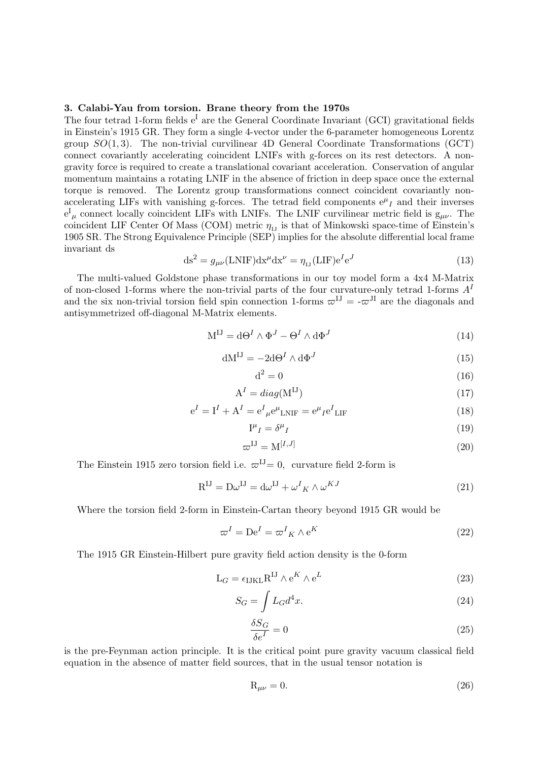# 3. Calabi-Yau from torsion. Brane theory from the 1970s

The four tetrad 1-form fields  $e<sup>I</sup>$  are the General Coordinate Invariant (GCI) gravitational fields in Einstein's 1915 GR. They form a single 4-vector under the 6-parameter homogeneous Lorentz group  $SO(1,3)$ . The non-trivial curvilinear 4D General Coordinate Transformations (GCT) connect covariantly accelerating coincident LNIFs with g-forces on its rest detectors. A nongravity force is required to create a translational covariant acceleration. Conservation of angular momentum maintains a rotating LNIF in the absence of friction in deep space once the external torque is removed. The Lorentz group transformations connect coincident covariantly nonaccelerating LIFs with vanishing g-forces. The tetrad field components  $e^{\mu}$ <sub>I</sub> and their inverses  $e^{I}_{\mu}$  connect locally coincident LIFs with LNIFs. The LNIF curvilinear metric field is  $g_{\mu\nu}$ . The coincident LIF Center Of Mass (COM) metric  $\eta_{\text{L1}}$  is that of Minkowski space-time of Einstein's 1905 SR. The Strong Equivalence Principle (SEP) implies for the absolute differential local frame invariant ds

$$
ds2 = g\mu\nu(LNIF)dx\mudx\nu = \etaIJ(LIF)eIeJ
$$
\n(13)

The multi-valued Goldstone phase transformations in our toy model form a 4x4 M-Matrix of non-closed 1-forms where the non-trivial parts of the four curvature-only tetrad 1-forms  $A<sup>I</sup>$ and the six non-trivial torsion field spin connection 1-forms  $\varpi^{IJ} = -\varpi^{JI}$  are the diagonals and antisymmetrized off-diagonal M-Matrix elements.

$$
M^{IJ} = d\Theta^I \wedge \Phi^J - \Theta^I \wedge d\Phi^J \tag{14}
$$

$$
dM^{IJ} = -2d\Theta^I \wedge d\Phi^J \tag{15}
$$

$$
d^2 = 0 \tag{16}
$$

$$
A^I = diag(M^{IJ})
$$
 (17)

$$
e^{I} = I^{I} + A^{I} = e^{I}{}_{\mu}e^{\mu}{}_{LMF} = e^{\mu}{}_{I}e^{I}{}_{LIF}
$$
\n(18)

$$
\mathbf{I}^{\mu}{}_{I} = \delta^{\mu}{}_{I} \tag{19}
$$

$$
\varpi^{\mathrm{IJ}} = \mathrm{M}^{[I,J]} \tag{20}
$$

The Einstein 1915 zero torsion field i.e.  $\varpi^{IJ} = 0$ , curvature field 2-form is

$$
R^{IJ} = D\omega^{IJ} = d\omega^{IJ} + \omega^I{}_K \wedge \omega^{KJ}
$$
\n(21)

Where the torsion field 2-form in Einstein-Cartan theory beyond 1915 GR would be

$$
\varpi^I = \mathrm{De}^I = \varpi^I{}_K \wedge \mathrm{e}^K \tag{22}
$$

The 1915 GR Einstein-Hilbert pure gravity field action density is the 0-form

$$
L_G = \epsilon_{IJKL} R^{IJ} \wedge e^K \wedge e^L \tag{23}
$$

$$
S_G = \int L_G d^4x. \tag{24}
$$

$$
\frac{\delta S_G}{\delta e^I} = 0\tag{25}
$$

is the pre-Feynman action principle. It is the critical point pure gravity vacuum classical field equation in the absence of matter field sources, that in the usual tensor notation is

$$
R_{\mu\nu} = 0.\t\t(26)
$$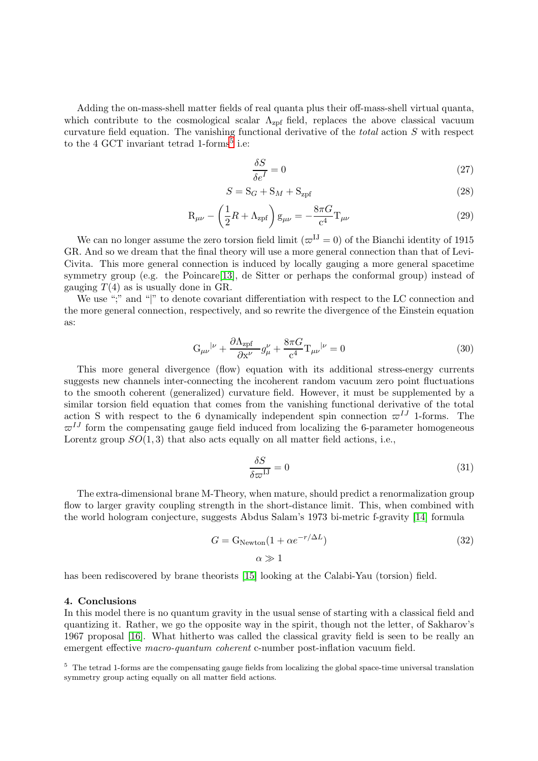Adding the on-mass-shell matter fields of real quanta plus their off-mass-shell virtual quanta, which contribute to the cosmological scalar  $\Lambda_{\text{zpf}}$  field, replaces the above classical vacuum curvature field equation. The vanishing functional derivative of the total action S with respect to the 4 GCT invariant tetrad 1-forms<sup>[5](#page-5-0)</sup> i.e:

$$
\frac{\delta S}{\delta e^I} = 0\tag{27}
$$

$$
S = S_G + S_M + S_{\text{zpf}} \tag{28}
$$

$$
R_{\mu\nu} - \left(\frac{1}{2}R + \Lambda_{zpf}\right)g_{\mu\nu} = -\frac{8\pi G}{c^4}T_{\mu\nu}
$$
\n(29)

We can no longer assume the zero torsion field limit  $(\varpi^{IJ} = 0)$  of the Bianchi identity of 1915 GR. And so we dream that the final theory will use a more general connection than that of Levi-Civita. This more general connection is induced by locally gauging a more general spacetime symmetry group (e.g. the Poincare [\[13\]](#page-7-12), de Sitter or perhaps the conformal group) instead of gauging  $T(4)$  as is usually done in GR.

We use ";" and "|" to denote covariant differentiation with respect to the LC connection and the more general connection, respectively, and so rewrite the divergence of the Einstein equation as:

$$
G_{\mu\nu}{}^{|\nu} + \frac{\partial \Lambda_{zpf}}{\partial x^{\nu}} g^{\nu}_{\mu} + \frac{8\pi G}{c^4} T_{\mu\nu}{}^{|\nu} = 0
$$
\n(30)

This more general divergence (flow) equation with its additional stress-energy currents suggests new channels inter-connecting the incoherent random vacuum zero point fluctuations to the smooth coherent (generalized) curvature field. However, it must be supplemented by a similar torsion field equation that comes from the vanishing functional derivative of the total action S with respect to the 6 dynamically independent spin connection  $\varpi^{IJ}$  1-forms. The  $\varpi^{IJ}$  form the compensating gauge field induced from localizing the 6-parameter homogeneous Lorentz group  $SO(1,3)$  that also acts equally on all matter field actions, i.e.,

$$
\frac{\delta S}{\delta \varpi^{1J}} = 0 \tag{31}
$$

The extra-dimensional brane M-Theory, when mature, should predict a renormalization group flow to larger gravity coupling strength in the short-distance limit. This, when combined with the world hologram conjecture, suggests Abdus Salam's 1973 bi-metric f-gravity [\[14\]](#page-7-13) formula

$$
G = G_{Newton}(1 + \alpha e^{-r/\Delta L})
$$
\n
$$
\alpha \gg 1
$$
\n(32)

has been rediscovered by brane theorists [\[15\]](#page-7-14) looking at the Calabi-Yau (torsion) field.

## 4. Conclusions

In this model there is no quantum gravity in the usual sense of starting with a classical field and quantizing it. Rather, we go the opposite way in the spirit, though not the letter, of Sakharov's 1967 proposal [\[16\]](#page-7-15). What hitherto was called the classical gravity field is seen to be really an emergent effective macro-quantum coherent c-number post-inflation vacuum field.

<span id="page-5-0"></span><sup>5</sup> The tetrad 1-forms are the compensating gauge fields from localizing the global space-time universal translation symmetry group acting equally on all matter field actions.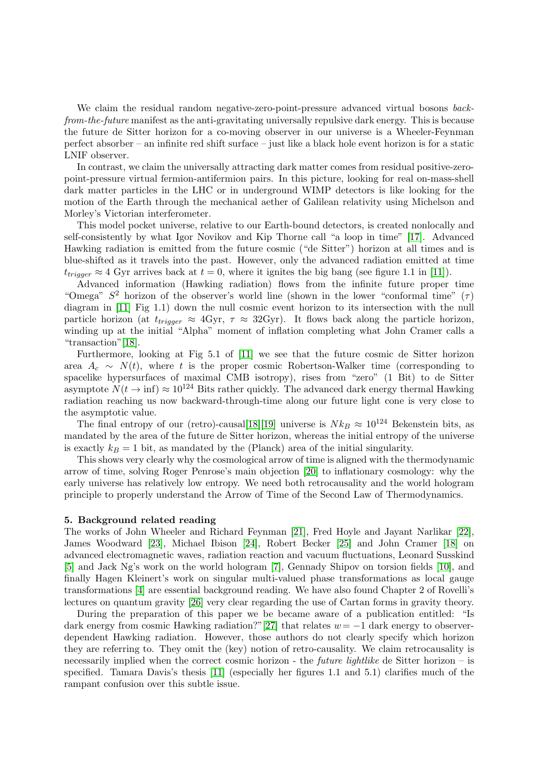We claim the residual random negative-zero-point-pressure advanced virtual bosons backfrom-the-future manifest as the anti-gravitating universally repulsive dark energy. This is because the future de Sitter horizon for a co-moving observer in our universe is a Wheeler-Feynman perfect absorber – an infinite red shift surface – just like a black hole event horizon is for a static LNIF observer.

In contrast, we claim the universally attracting dark matter comes from residual positive-zeropoint-pressure virtual fermion-antifermion pairs. In this picture, looking for real on-mass-shell dark matter particles in the LHC or in underground WIMP detectors is like looking for the motion of the Earth through the mechanical aether of Galilean relativity using Michelson and Morley's Victorian interferometer.

This model pocket universe, relative to our Earth-bound detectors, is created nonlocally and self-consistently by what Igor Novikov and Kip Thorne call "a loop in time" [\[17\]](#page-7-16). Advanced Hawking radiation is emitted from the future cosmic ("de Sitter") horizon at all times and is blue-shifted as it travels into the past. However, only the advanced radiation emitted at time  $t_{trigger} \approx 4$  Gyr arrives back at  $t = 0$ , where it ignites the big bang (see figure 1.1 in [\[11\]](#page-7-10)).

Advanced information (Hawking radiation) flows from the infinite future proper time "Omega"  $S^2$  horizon of the observer's world line (shown in the lower "conformal time"  $(\tau)$ diagram in [\[11\]](#page-7-10) Fig 1.1) down the null cosmic event horizon to its intersection with the null particle horizon (at  $t_{trigger} \approx 4Gyr$ ,  $\tau \approx 32Gyr$ ). It flows back along the particle horizon, winding up at the initial "Alpha" moment of inflation completing what John Cramer calls a "transaction"[\[18\]](#page-7-17).

Furthermore, looking at Fig 5.1 of [\[11\]](#page-7-10) we see that the future cosmic de Sitter horizon area  $A_c \sim N(t)$ , where t is the proper cosmic Robertson-Walker time (corresponding to spacelike hypersurfaces of maximal CMB isotropy), rises from "zero" (1 Bit) to de Sitter asymptote  $N(t \to \inf) \approx 10^{124}$  Bits rather quickly. The advanced dark energy thermal Hawking radiation reaching us now backward-through-time along our future light cone is very close to the asymptotic value.

The final entropy of our (retro)-causal[\[18\]](#page-7-17)[\[19\]](#page-7-18) universe is  $N k_B \approx 10^{124}$  Bekenstein bits, as mandated by the area of the future de Sitter horizon, whereas the initial entropy of the universe is exactly  $k_B = 1$  bit, as mandated by the (Planck) area of the initial singularity.

This shows very clearly why the cosmological arrow of time is aligned with the thermodynamic arrow of time, solving Roger Penrose's main objection [\[20\]](#page-7-19) to inflationary cosmology: why the early universe has relatively low entropy. We need both retrocausality and the world hologram principle to properly understand the Arrow of Time of the Second Law of Thermodynamics.

## 5. Background related reading

The works of John Wheeler and Richard Feynman [\[21\]](#page-7-20), Fred Hoyle and Jayant Narlikar [\[22\]](#page-7-21), James Woodward [\[23\]](#page-7-22), Michael Ibison [\[24\]](#page-7-23), Robert Becker [\[25\]](#page-7-24) and John Cramer [\[18\]](#page-7-17) on advanced electromagnetic waves, radiation reaction and vacuum fluctuations, Leonard Susskind [\[5\]](#page-7-4) and Jack Ng's work on the world hologram [\[7\]](#page-7-6), Gennady Shipov on torsion fields [\[10\]](#page-7-9), and finally Hagen Kleinert's work on singular multi-valued phase transformations as local gauge transformations [\[4\]](#page-7-3) are essential background reading. We have also found Chapter 2 of Rovelli's lectures on quantum gravity [\[26\]](#page-7-25) very clear regarding the use of Cartan forms in gravity theory.

During the preparation of this paper we be became aware of a publication entitled: "Is dark energy from cosmic Hawking radiation?"[\[27\]](#page-7-26) that relates  $w = -1$  dark energy to observerdependent Hawking radiation. However, those authors do not clearly specify which horizon they are referring to. They omit the (key) notion of retro-causality. We claim retrocausality is necessarily implied when the correct cosmic horizon - the *future lightlike* de Sitter horizon  $-$  is specified. Tamara Davis's thesis [\[11\]](#page-7-10) (especially her figures 1.1 and 5.1) clarifies much of the rampant confusion over this subtle issue.